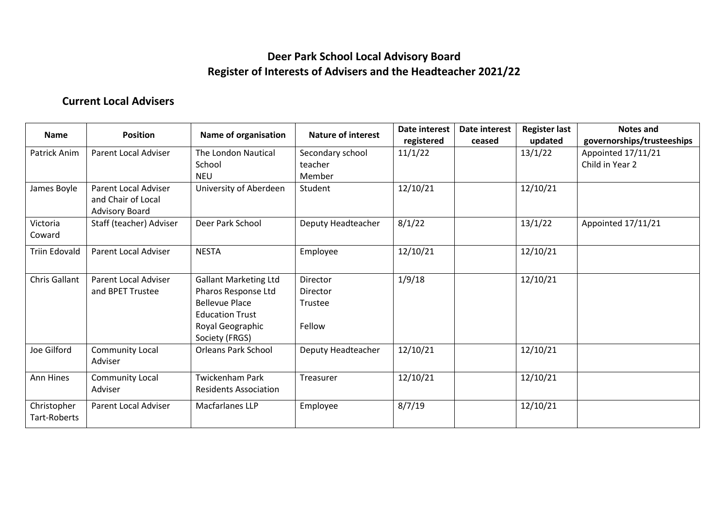### **Deer Park School Local Advisory Board Register of Interests of Advisers and the Headteacher 2021/22**

### **Current Local Advisers**

| <b>Name</b>                        | <b>Position</b>                                                            | Name of organisation                                                                                                                         | <b>Nature of interest</b>                        | Date interest<br>registered | Date interest<br>ceased | <b>Register last</b><br>updated | Notes and<br>governorships/trusteeships |
|------------------------------------|----------------------------------------------------------------------------|----------------------------------------------------------------------------------------------------------------------------------------------|--------------------------------------------------|-----------------------------|-------------------------|---------------------------------|-----------------------------------------|
| Patrick Anim                       | Parent Local Adviser                                                       | The London Nautical<br>School<br><b>NEU</b>                                                                                                  | Secondary school<br>teacher<br>Member            | 11/1/22                     |                         | 13/1/22                         | Appointed 17/11/21<br>Child in Year 2   |
| James Boyle                        | <b>Parent Local Adviser</b><br>and Chair of Local<br><b>Advisory Board</b> | University of Aberdeen                                                                                                                       | Student                                          | 12/10/21                    |                         | 12/10/21                        |                                         |
| Victoria<br>Coward                 | Staff (teacher) Adviser                                                    | Deer Park School                                                                                                                             | Deputy Headteacher                               | 8/1/22                      |                         | 13/1/22                         | Appointed 17/11/21                      |
| <b>Triin Edovald</b>               | Parent Local Adviser                                                       | <b>NESTA</b>                                                                                                                                 | Employee                                         | 12/10/21                    |                         | 12/10/21                        |                                         |
| Chris Gallant                      | Parent Local Adviser<br>and BPET Trustee                                   | <b>Gallant Marketing Ltd</b><br>Pharos Response Ltd<br><b>Bellevue Place</b><br><b>Education Trust</b><br>Royal Geographic<br>Society (FRGS) | Director<br><b>Director</b><br>Trustee<br>Fellow | 1/9/18                      |                         | 12/10/21                        |                                         |
| Joe Gilford                        | Community Local<br>Adviser                                                 | <b>Orleans Park School</b>                                                                                                                   | Deputy Headteacher                               | 12/10/21                    |                         | 12/10/21                        |                                         |
| Ann Hines                          | <b>Community Local</b><br>Adviser                                          | <b>Twickenham Park</b><br><b>Residents Association</b>                                                                                       | Treasurer                                        | 12/10/21                    |                         | 12/10/21                        |                                         |
| Christopher<br><b>Tart-Roberts</b> | Parent Local Adviser                                                       | <b>Macfarlanes LLP</b>                                                                                                                       | Employee                                         | 8/7/19                      |                         | 12/10/21                        |                                         |